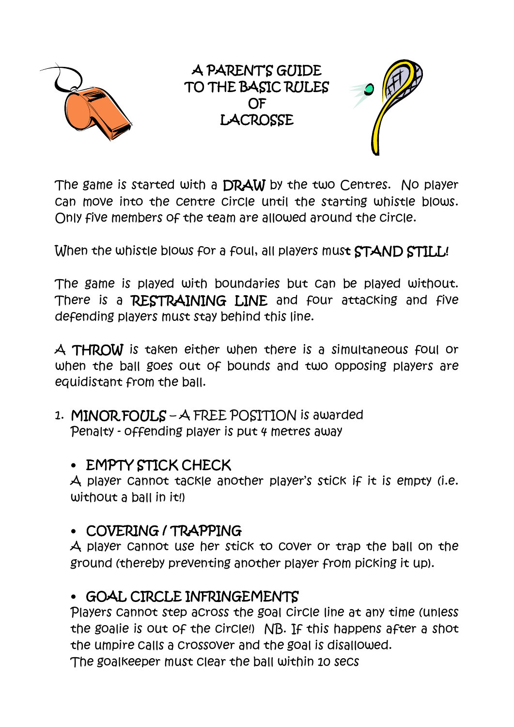

A PARENT'S GUIDE TO THE BASIC RULES OF **LACROSSE** 



The game is started with a DRAW by the two Centres. No player can move into the centre circle until the starting whistle blows. Only five members of the team are allowed around the circle.

When the whistle blows for a foul, all players must STAND STILL!

The game is played with boundaries but can be played without. There is a **RESTRAINING LINE** and four attacking and five defending players must stay behind this line.

A THROW is taken either when there is a simultaneous foul or when the ball goes out of bounds and two opposing players are equidistant from the ball.

1. MINOR FOULS – A FREE POSITION is awarded Penalty - offending player is put 4 metres away

## • EMPTY STICK CHECK

A player cannot tackle another player's stick if it is empty (i.e. without a ball in it!)

## • COVERING / TRAPPING

A player cannot use her stick to cover or trap the ball on the ground (thereby preventing another player from picking it up).

# • GOAL CIRCLE INFRINGEMENTS

Players cannot step across the goal circle line at any time (unless the goalie is out of the circle!) NB. If this happens after a shot the umpire calls a crossover and the goal is disallowed. The goalkeeper must clear the ball within 10 secs